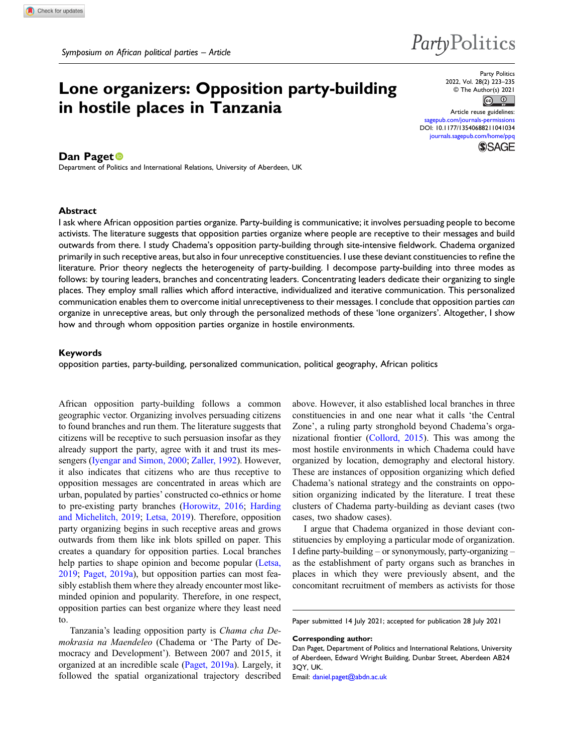# Lone organizers: Opposition party-building in hostile places in Tanzania

Party Politics 2022, Vol. 28(2) 223–235 © The Author(s) 2021

 $\odot$   $\odot$ 

Article reuse guidelines: pub.com/journals-permissions DOI: [10.1177/13540688211041034](https://doi.org/10.1177/13540688211041034) [journals.sagepub.com/home/ppq](https://journals.sagepub.com/home/ppq) **SSAGE** 

PartyPolitics

## Dan Paget<sup>®</sup>

Department of Politics and International Relations, University of Aberdeen, UK

#### Abstract

I ask where African opposition parties organize. Party-building is communicative; it involves persuading people to become activists. The literature suggests that opposition parties organize where people are receptive to their messages and build outwards from there. I study Chadema's opposition party-building through site-intensive fieldwork. Chadema organized primarily in such receptive areas, but also in four unreceptive constituencies. I use these deviant constituencies to refine the literature. Prior theory neglects the heterogeneity of party-building. I decompose party-building into three modes as follows: by touring leaders, branches and concentrating leaders. Concentrating leaders dedicate their organizing to single places. They employ small rallies which afford interactive, individualized and iterative communication. This personalized communication enables them to overcome initial unreceptiveness to their messages. I conclude that opposition parties can organize in unreceptive areas, but only through the personalized methods of these 'lone organizers'. Altogether, I show how and through whom opposition parties organize in hostile environments.

#### Keywords

opposition parties, party-building, personalized communication, political geography, African politics

African opposition party-building follows a common geographic vector. Organizing involves persuading citizens to found branches and run them. The literature suggests that citizens will be receptive to such persuasion insofar as they already support the party, agree with it and trust its messengers ([Iyengar and Simon, 2000;](#page-10-0) [Zaller, 1992\)](#page-11-0). However, it also indicates that citizens who are thus receptive to opposition messages are concentrated in areas which are urban, populated by parties' constructed co-ethnics or home to pre-existing party branches ([Horowitz, 2016;](#page-10-1) [Harding](#page-10-2) [and Michelitch, 2019;](#page-10-2) [Letsa, 2019\)](#page-10-3). Therefore, opposition party organizing begins in such receptive areas and grows outwards from them like ink blots spilled on paper. This creates a quandary for opposition parties. Local branches help parties to shape opinion and become popular ([Letsa,](#page-10-3) [2019;](#page-10-3) [Paget, 2019a](#page-10-4)), but opposition parties can most feasibly establish them where they already encounter most likeminded opinion and popularity. Therefore, in one respect, opposition parties can best organize where they least need to.

Tanzania's leading opposition party is Chama cha Demokrasia na Maendeleo (Chadema or 'The Party of Democracy and Development'). Between 2007 and 2015, it organized at an incredible scale ([Paget, 2019a\)](#page-10-4). Largely, it followed the spatial organizational trajectory described above. However, it also established local branches in three constituencies in and one near what it calls 'the Central Zone', a ruling party stronghold beyond Chadema's organizational frontier [\(Collord, 2015\)](#page-10-5). This was among the most hostile environments in which Chadema could have organized by location, demography and electoral history. These are instances of opposition organizing which defied Chadema's national strategy and the constraints on opposition organizing indicated by the literature. I treat these clusters of Chadema party-building as deviant cases (two cases, two shadow cases).

I argue that Chadema organized in those deviant constituencies by employing a particular mode of organization. I define party-building – or synonymously, party-organizing – as the establishment of party organs such as branches in places in which they were previously absent, and the concomitant recruitment of members as activists for those

Paper submitted 14 July 2021; accepted for publication 28 July 2021

Corresponding author:

Email: [daniel.paget@abdn.ac.uk](mailto:daniel.paget@abdn.ac.uk)

Dan Paget, Department of Politics and International Relations, University of Aberdeen, Edward Wright Building, Dunbar Street, Aberdeen AB24 3QY, UK.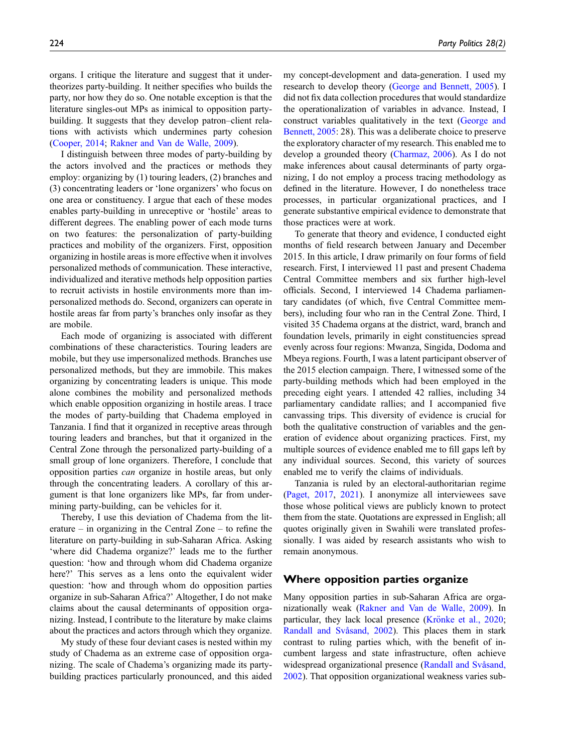organs. I critique the literature and suggest that it undertheorizes party-building. It neither specifies who builds the party, nor how they do so. One notable exception is that the literature singles-out MPs as inimical to opposition partybuilding. It suggests that they develop patron–client relations with activists which undermines party cohesion ([Cooper, 2014](#page-10-6); [Rakner and Van de Walle, 2009\)](#page-11-1).

I distinguish between three modes of party-building by the actors involved and the practices or methods they employ: organizing by (1) touring leaders, (2) branches and (3) concentrating leaders or 'lone organizers' who focus on one area or constituency. I argue that each of these modes enables party-building in unreceptive or 'hostile' areas to different degrees. The enabling power of each mode turns on two features: the personalization of party-building practices and mobility of the organizers. First, opposition organizing in hostile areas is more effective when it involves personalized methods of communication. These interactive, individualized and iterative methods help opposition parties to recruit activists in hostile environments more than impersonalized methods do. Second, organizers can operate in hostile areas far from party's branches only insofar as they are mobile.

Each mode of organizing is associated with different combinations of these characteristics. Touring leaders are mobile, but they use impersonalized methods. Branches use personalized methods, but they are immobile. This makes organizing by concentrating leaders is unique. This mode alone combines the mobility and personalized methods which enable opposition organizing in hostile areas. I trace the modes of party-building that Chadema employed in Tanzania. I find that it organized in receptive areas through touring leaders and branches, but that it organized in the Central Zone through the personalized party-building of a small group of lone organizers. Therefore, I conclude that opposition parties can organize in hostile areas, but only through the concentrating leaders. A corollary of this argument is that lone organizers like MPs, far from undermining party-building, can be vehicles for it.

Thereby, I use this deviation of Chadema from the literature – in organizing in the Central Zone – to refine the literature on party-building in sub-Saharan Africa. Asking 'where did Chadema organize?' leads me to the further question: 'how and through whom did Chadema organize here?' This serves as a lens onto the equivalent wider question: 'how and through whom do opposition parties organize in sub-Saharan Africa?' Altogether, I do not make claims about the causal determinants of opposition organizing. Instead, I contribute to the literature by make claims about the practices and actors through which they organize.

My study of these four deviant cases is nested within my study of Chadema as an extreme case of opposition organizing. The scale of Chadema's organizing made its partybuilding practices particularly pronounced, and this aided my concept-development and data-generation. I used my research to develop theory ([George and Bennett, 2005\)](#page-10-7). I did not fix data collection procedures that would standardize the operationalization of variables in advance. Instead, I construct variables qualitatively in the text ([George and](#page-10-7) [Bennett, 2005](#page-10-7): 28). This was a deliberate choice to preserve the exploratory character of my research. This enabled me to develop a grounded theory ([Charmaz, 2006\)](#page-10-8). As I do not make inferences about causal determinants of party organizing, I do not employ a process tracing methodology as defined in the literature. However, I do nonetheless trace processes, in particular organizational practices, and I generate substantive empirical evidence to demonstrate that those practices were at work.

To generate that theory and evidence, I conducted eight months of field research between January and December 2015. In this article, I draw primarily on four forms of field research. First, I interviewed 11 past and present Chadema Central Committee members and six further high-level officials. Second, I interviewed 14 Chadema parliamentary candidates (of which, five Central Committee members), including four who ran in the Central Zone. Third, I visited 35 Chadema organs at the district, ward, branch and foundation levels, primarily in eight constituencies spread evenly across four regions: Mwanza, Singida, Dodoma and Mbeya regions. Fourth, I was a latent participant observer of the 2015 election campaign. There, I witnessed some of the party-building methods which had been employed in the preceding eight years. I attended 42 rallies, including 34 parliamentary candidate rallies; and I accompanied five canvassing trips. This diversity of evidence is crucial for both the qualitative construction of variables and the generation of evidence about organizing practices. First, my multiple sources of evidence enabled me to fill gaps left by any individual sources. Second, this variety of sources enabled me to verify the claims of individuals.

Tanzania is ruled by an electoral-authoritarian regime [\(Paget, 2017](#page-10-9), [2021\)](#page-10-10). I anonymize all interviewees save those whose political views are publicly known to protect them from the state. Quotations are expressed in English; all quotes originally given in Swahili were translated professionally. I was aided by research assistants who wish to remain anonymous.

## Where opposition parties organize

Many opposition parties in sub-Saharan Africa are organizationally weak ([Rakner and Van de Walle, 2009\)](#page-11-1). In particular, they lack local presence ([Kr](#page-10-11)ö[nke et al., 2020](#page-10-11); [Randall and Sv](#page-11-2)å[sand, 2002](#page-11-2)). This places them in stark contrast to ruling parties which, with the benefit of incumbent largess and state infrastructure, often achieve widespread organizational presence ([Randall and Sv](#page-11-2)å[sand,](#page-11-2) [2002\)](#page-11-2). That opposition organizational weakness varies sub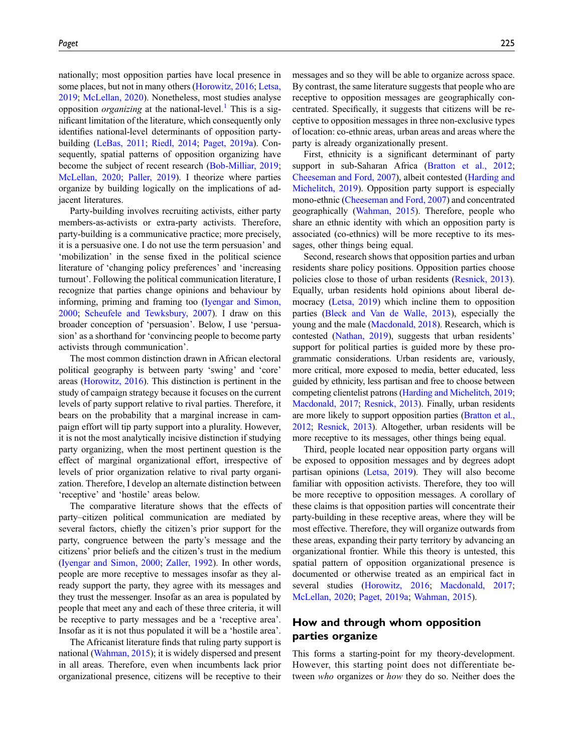nationally; most opposition parties have local presence in some places, but not in many others [\(Horowitz, 2016;](#page-10-1) [Letsa,](#page-10-3) [2019;](#page-10-3) [McLellan, 2020](#page-10-12)). Nonetheless, most studies analyse opposition *organizing* at the national-level.<sup>[1](#page-9-0)</sup> This is a significant limitation of the literature, which consequently only identifies national-level determinants of opposition partybuilding ([LeBas, 2011](#page-10-13); [Riedl, 2014;](#page-11-3) [Paget, 2019a\)](#page-10-4). Consequently, spatial patterns of opposition organizing have become the subject of recent research [\(Bob-Milliar, 2019;](#page-10-14) [McLellan, 2020;](#page-10-12) [Paller, 2019](#page-10-15)). I theorize where parties organize by building logically on the implications of adjacent literatures.

Party-building involves recruiting activists, either party members-as-activists or extra-party activists. Therefore, party-building is a communicative practice; more precisely, it is a persuasive one. I do not use the term persuasion' and 'mobilization' in the sense fixed in the political science literature of 'changing policy preferences' and 'increasing turnout'. Following the political communication literature, I recognize that parties change opinions and behaviour by informing, priming and framing too ([Iyengar and Simon,](#page-10-0) [2000;](#page-10-0) [Scheufele and Tewksbury, 2007](#page-11-4)). I draw on this broader conception of 'persuasion'. Below, I use 'persuasion' as a shorthand for 'convincing people to become party activists through communication'.

The most common distinction drawn in African electoral political geography is between party 'swing' and 'core' areas [\(Horowitz, 2016](#page-10-1)). This distinction is pertinent in the study of campaign strategy because it focuses on the current levels of party support relative to rival parties. Therefore, it bears on the probability that a marginal increase in campaign effort will tip party support into a plurality. However, it is not the most analytically incisive distinction if studying party organizing, when the most pertinent question is the effect of marginal organizational effort, irrespective of levels of prior organization relative to rival party organization. Therefore, I develop an alternate distinction between 'receptive' and 'hostile' areas below.

The comparative literature shows that the effects of party–citizen political communication are mediated by several factors, chiefly the citizen's prior support for the party, congruence between the party's message and the citizens' prior beliefs and the citizen's trust in the medium [\(Iyengar and Simon, 2000;](#page-10-0) [Zaller, 1992](#page-11-0)). In other words, people are more receptive to messages insofar as they already support the party, they agree with its messages and they trust the messenger. Insofar as an area is populated by people that meet any and each of these three criteria, it will be receptive to party messages and be a 'receptive area'. Insofar as it is not thus populated it will be a 'hostile area'.

The Africanist literature finds that ruling party support is national ([Wahman, 2015\)](#page-11-5); it is widely dispersed and present in all areas. Therefore, even when incumbents lack prior organizational presence, citizens will be receptive to their

messages and so they will be able to organize across space. By contrast, the same literature suggests that people who are receptive to opposition messages are geographically concentrated. Specifically, it suggests that citizens will be receptive to opposition messages in three non-exclusive types of location: co-ethnic areas, urban areas and areas where the party is already organizationally present.

First, ethnicity is a significant determinant of party support in sub-Saharan Africa ([Bratton et al., 2012](#page-10-16); [Cheeseman and Ford, 2007](#page-10-17)), albeit contested ([Harding and](#page-10-2) [Michelitch, 2019](#page-10-2)). Opposition party support is especially mono-ethnic ([Cheeseman and Ford, 2007\)](#page-10-17) and concentrated geographically [\(Wahman, 2015\)](#page-11-5). Therefore, people who share an ethnic identity with which an opposition party is associated (co-ethnics) will be more receptive to its messages, other things being equal.

Second, research shows that opposition parties and urban residents share policy positions. Opposition parties choose policies close to those of urban residents ([Resnick, 2013](#page-11-6)). Equally, urban residents hold opinions about liberal democracy ([Letsa, 2019\)](#page-10-3) which incline them to opposition parties ([Bleck and Van de Walle, 2013\)](#page-10-18), especially the young and the male [\(Macdonald, 2018\)](#page-10-19). Research, which is contested ([Nathan, 2019](#page-10-20)), suggests that urban residents' support for political parties is guided more by these programmatic considerations. Urban residents are, variously, more critical, more exposed to media, better educated, less guided by ethnicity, less partisan and free to choose between competing clientelist patrons [\(Harding and Michelitch, 2019](#page-10-2); [Macdonald, 2017;](#page-10-21) [Resnick, 2013\)](#page-11-6). Finally, urban residents are more likely to support opposition parties [\(Bratton et al.,](#page-10-16) [2012;](#page-10-16) [Resnick, 2013](#page-11-6)). Altogether, urban residents will be more receptive to its messages, other things being equal.

Third, people located near opposition party organs will be exposed to opposition messages and by degrees adopt partisan opinions ([Letsa, 2019](#page-10-3)). They will also become familiar with opposition activists. Therefore, they too will be more receptive to opposition messages. A corollary of these claims is that opposition parties will concentrate their party-building in these receptive areas, where they will be most effective. Therefore, they will organize outwards from these areas, expanding their party territory by advancing an organizational frontier. While this theory is untested, this spatial pattern of opposition organizational presence is documented or otherwise treated as an empirical fact in several studies [\(Horowitz, 2016;](#page-10-1) [Macdonald, 2017](#page-10-21); [McLellan, 2020](#page-10-12); [Paget, 2019a;](#page-10-4) [Wahman, 2015](#page-11-5)).

## How and through whom opposition parties organize

This forms a starting-point for my theory-development. However, this starting point does not differentiate between who organizes or how they do so. Neither does the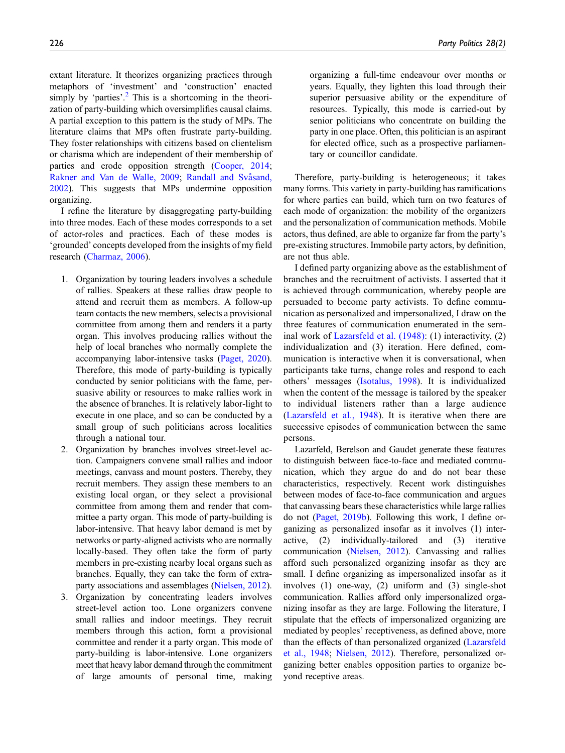extant literature. It theorizes organizing practices through metaphors of 'investment' and 'construction' enacted simply by 'parties'.<sup>[2](#page-9-1)</sup> This is a shortcoming in the theorization of party-building which oversimplifies causal claims. A partial exception to this pattern is the study of MPs. The literature claims that MPs often frustrate party-building. They foster relationships with citizens based on clientelism or charisma which are independent of their membership of parties and erode opposition strength [\(Cooper, 2014](#page-10-6); [Rakner and Van de Walle, 2009](#page-11-1); Randall and Svåsand, [2002](#page-11-2)). This suggests that MPs undermine opposition organizing.

I refine the literature by disaggregating party-building into three modes. Each of these modes corresponds to a set of actor-roles and practices. Each of these modes is 'grounded' concepts developed from the insights of my field research ([Charmaz, 2006](#page-10-8)).

- 1. Organization by touring leaders involves a schedule of rallies. Speakers at these rallies draw people to attend and recruit them as members. A follow-up team contacts the new members, selects a provisional committee from among them and renders it a party organ. This involves producing rallies without the help of local branches who normally complete the accompanying labor-intensive tasks ([Paget, 2020](#page-10-22)). Therefore, this mode of party-building is typically conducted by senior politicians with the fame, persuasive ability or resources to make rallies work in the absence of branches. It is relatively labor-light to execute in one place, and so can be conducted by a small group of such politicians across localities through a national tour.
- 2. Organization by branches involves street-level action. Campaigners convene small rallies and indoor meetings, canvass and mount posters. Thereby, they recruit members. They assign these members to an existing local organ, or they select a provisional committee from among them and render that committee a party organ. This mode of party-building is labor-intensive. That heavy labor demand is met by networks or party-aligned activists who are normally locally-based. They often take the form of party members in pre-existing nearby local organs such as branches. Equally, they can take the form of extraparty associations and assemblages ([Nielsen, 2012](#page-10-23)).
- 3. Organization by concentrating leaders involves street-level action too. Lone organizers convene small rallies and indoor meetings. They recruit members through this action, form a provisional committee and render it a party organ. This mode of party-building is labor-intensive. Lone organizers meet that heavy labor demand through the commitment of large amounts of personal time, making

organizing a full-time endeavour over months or years. Equally, they lighten this load through their superior persuasive ability or the expenditure of resources. Typically, this mode is carried-out by senior politicians who concentrate on building the party in one place. Often, this politician is an aspirant for elected office, such as a prospective parliamentary or councillor candidate.

Therefore, party-building is heterogeneous; it takes many forms. This variety in party-building has ramifications for where parties can build, which turn on two features of each mode of organization: the mobility of the organizers and the personalization of communication methods. Mobile actors, thus defined, are able to organize far from the party's pre-existing structures. Immobile party actors, by definition, are not thus able.

I defined party organizing above as the establishment of branches and the recruitment of activists. I asserted that it is achieved through communication, whereby people are persuaded to become party activists. To define communication as personalized and impersonalized, I draw on the three features of communication enumerated in the seminal work of [Lazarsfeld et al. \(1948\):](#page-10-24) (1) interactivity, (2) individualization and (3) iteration. Here defined, communication is interactive when it is conversational, when participants take turns, change roles and respond to each others' messages ([Isotalus, 1998\)](#page-10-25). It is individualized when the content of the message is tailored by the speaker to individual listeners rather than a large audience [\(Lazarsfeld et al., 1948](#page-10-24)). It is iterative when there are successive episodes of communication between the same persons.

Lazarfeld, Berelson and Gaudet generate these features to distinguish between face-to-face and mediated communication, which they argue do and do not bear these characteristics, respectively. Recent work distinguishes between modes of face-to-face communication and argues that canvassing bears these characteristics while large rallies do not ([Paget, 2019b](#page-10-26)). Following this work, I define organizing as personalized insofar as it involves (1) interactive, (2) individually-tailored and (3) iterative communication [\(Nielsen, 2012](#page-10-23)). Canvassing and rallies afford such personalized organizing insofar as they are small. I define organizing as impersonalized insofar as it involves (1) one-way, (2) uniform and (3) single-shot communication. Rallies afford only impersonalized organizing insofar as they are large. Following the literature, I stipulate that the effects of impersonalized organizing are mediated by peoples' receptiveness, as defined above, more than the effects of than personalized organized [\(Lazarsfeld](#page-10-24) [et al., 1948](#page-10-24); [Nielsen, 2012\)](#page-10-23). Therefore, personalized organizing better enables opposition parties to organize beyond receptive areas.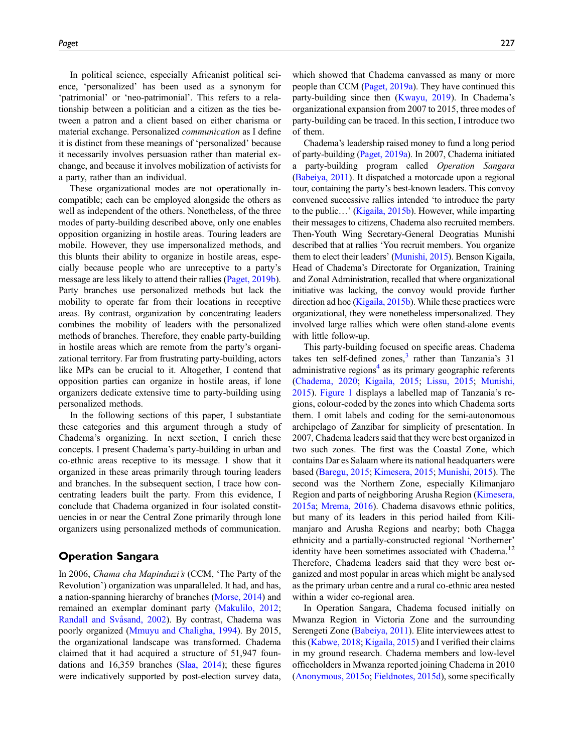In political science, especially Africanist political science, 'personalized' has been used as a synonym for 'patrimonial' or 'neo-patrimonial'. This refers to a relationship between a politician and a citizen as the ties between a patron and a client based on either charisma or material exchange. Personalized communication as I define it is distinct from these meanings of 'personalized' because it necessarily involves persuasion rather than material exchange, and because it involves mobilization of activists for a party, rather than an individual.

These organizational modes are not operationally incompatible; each can be employed alongside the others as well as independent of the others. Nonetheless, of the three modes of party-building described above, only one enables opposition organizing in hostile areas. Touring leaders are mobile. However, they use impersonalized methods, and this blunts their ability to organize in hostile areas, especially because people who are unreceptive to a party's message are less likely to attend their rallies [\(Paget, 2019b\)](#page-10-26). Party branches use personalized methods but lack the mobility to operate far from their locations in receptive areas. By contrast, organization by concentrating leaders combines the mobility of leaders with the personalized methods of branches. Therefore, they enable party-building in hostile areas which are remote from the party's organizational territory. Far from frustrating party-building, actors like MPs can be crucial to it. Altogether, I contend that opposition parties can organize in hostile areas, if lone organizers dedicate extensive time to party-building using personalized methods.

In the following sections of this paper, I substantiate these categories and this argument through a study of Chadema's organizing. In next section, I enrich these concepts. I present Chadema's party-building in urban and co-ethnic areas receptive to its message. I show that it organized in these areas primarily through touring leaders and branches. In the subsequent section, I trace how concentrating leaders built the party. From this evidence, I conclude that Chadema organized in four isolated constituencies in or near the Central Zone primarily through lone organizers using personalized methods of communication.

## Operation Sangara

In 2006, Chama cha Mapinduzi's (CCM, 'The Party of the Revolution') organization was unparalleled. It had, and has, a nation-spanning hierarchy of branches [\(Morse, 2014](#page-10-27)) and remained an exemplar dominant party [\(Makulilo, 2012;](#page-10-28) Randall and Svåsand, 2002). By contrast, Chadema was poorly organized [\(Mmuyu and Chaligha, 1994](#page-10-29)). By 2015, the organizational landscape was transformed. Chadema claimed that it had acquired a structure of 51,947 foundations and 16,359 branches ([Slaa, 2014\)](#page-11-7); these figures were indicatively supported by post-election survey data,

which showed that Chadema canvassed as many or more people than CCM [\(Paget, 2019a](#page-10-4)). They have continued this party-building since then ([Kwayu, 2019\)](#page-10-30). In Chadema's organizational expansion from 2007 to 2015, three modes of party-building can be traced. In this section, I introduce two of them.

Chadema's leadership raised money to fund a long period of party-building ([Paget, 2019a\)](#page-10-4). In 2007, Chadema initiated a party-building program called Operation Sangara [\(Babeiya, 2011\)](#page-9-2). It dispatched a motorcade upon a regional tour, containing the party's best-known leaders. This convoy convened successive rallies intended 'to introduce the party to the public…' ([Kigaila, 2015b](#page-11-8)). However, while imparting their messages to citizens, Chadema also recruited members. Then-Youth Wing Secretary-General Deogratias Munishi described that at rallies 'You recruit members. You organize them to elect their leaders' [\(Munishi, 2015\)](#page-11-9). Benson Kigaila, Head of Chadema's Directorate for Organization, Training and Zonal Administration, recalled that where organizational initiative was lacking, the convoy would provide further direction ad hoc [\(Kigaila, 2015b\)](#page-11-8). While these practices were organizational, they were nonetheless impersonalized. They involved large rallies which were often stand-alone events with little follow-up.

This party-building focused on specific areas. Chadema takes ten self-defined zones, $3$  rather than Tanzania's 31 administrative regions $4$  as its primary geographic referents ([Chadema, 2020;](#page-10-31) [Kigaila, 2015;](#page-11-8) [Lissu, 2015](#page-11-10); [Munishi,](#page-11-9) [2015](#page-11-9)). [Figure 1](#page-5-0) displays a labelled map of Tanzania's regions, colour-coded by the zones into which Chadema sorts them. I omit labels and coding for the semi-autonomous archipelago of Zanzibar for simplicity of presentation. In 2007, Chadema leaders said that they were best organized in two such zones. The first was the Coastal Zone, which contains Dar es Salaam where its national headquarters were based [\(Baregu, 2015;](#page-10-32) [Kimesera, 2015;](#page-11-11) [Munishi, 2015\)](#page-11-9). The second was the Northern Zone, especially Kilimanjaro Region and parts of neighboring Arusha Region ([Kimesera,](#page-11-11) [2015a;](#page-11-11) [Mrema, 2016](#page-11-12)). Chadema disavows ethnic politics, but many of its leaders in this period hailed from Kilimanjaro and Arusha Regions and nearby; both Chagga ethnicity and a partially-constructed regional 'Northerner' identity have been sometimes associated with Chadema.<sup>12</sup> Therefore, Chadema leaders said that they were best organized and most popular in areas which might be analysed as the primary urban centre and a rural co-ethnic area nested within a wider co-regional area.

In Operation Sangara, Chadema focused initially on Mwanza Region in Victoria Zone and the surrounding Serengeti Zone ([Babeiya, 2011\)](#page-9-2). Elite interviewees attest to this ([Kabwe, 2018](#page-11-13); [Kigaila, 2015](#page-11-8)) and I verified their claims in my ground research. Chadema members and low-level officeholders in Mwanza reported joining Chadema in 2010 ([Anonymous, 2015o;](#page-11-14) [Fieldnotes, 2015d\)](#page-11-15), some specifically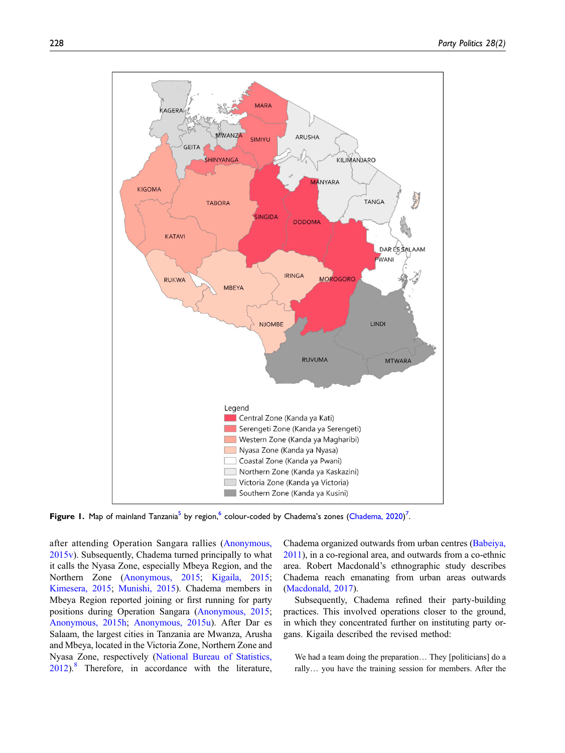

<span id="page-5-0"></span>Figure 1. Map of mainland Tanzania<sup>[5](#page-9-6)</sup> by region,  $^6$  $^6$  colour-coded by Chadema's zones [\(Chadema, 2020\)](#page-10-31)<sup>[7](#page-9-8)</sup>.

after attending Operation Sangara rallies ([Anonymous,](#page-11-16) [2015v](#page-11-16)). Subsequently, Chadema turned principally to what it calls the Nyasa Zone, especially Mbeya Region, and the Northern Zone ([Anonymous, 2015](#page-11-17); [Kigaila, 2015](#page-11-8); [Kimesera, 2015](#page-11-18); [Munishi, 2015](#page-11-9)). Chadema members in Mbeya Region reported joining or first running for party positions during Operation Sangara [\(Anonymous, 2015](#page-11-19); [Anonymous, 2015h](#page-11-20); [Anonymous, 2015u](#page-11-21)). After Dar es Salaam, the largest cities in Tanzania are Mwanza, Arusha and Mbeya, located in the Victoria Zone, Northern Zone and Nyasa Zone, respectively [\(National Bureau of Statistics,](#page-10-33) [2012](#page-10-33)).[8](#page-9-5) Therefore, in accordance with the literature,

Chadema organized outwards from urban centres ([Babeiya,](#page-9-2) [2011\)](#page-9-2), in a co-regional area, and outwards from a co-ethnic area. Robert Macdonald's ethnographic study describes Chadema reach emanating from urban areas outwards [\(Macdonald, 2017](#page-10-21)).

Subsequently, Chadema refined their party-building practices. This involved operations closer to the ground, in which they concentrated further on instituting party organs. Kigaila described the revised method:

We had a team doing the preparation... They [politicians] do a rally… you have the training session for members. After the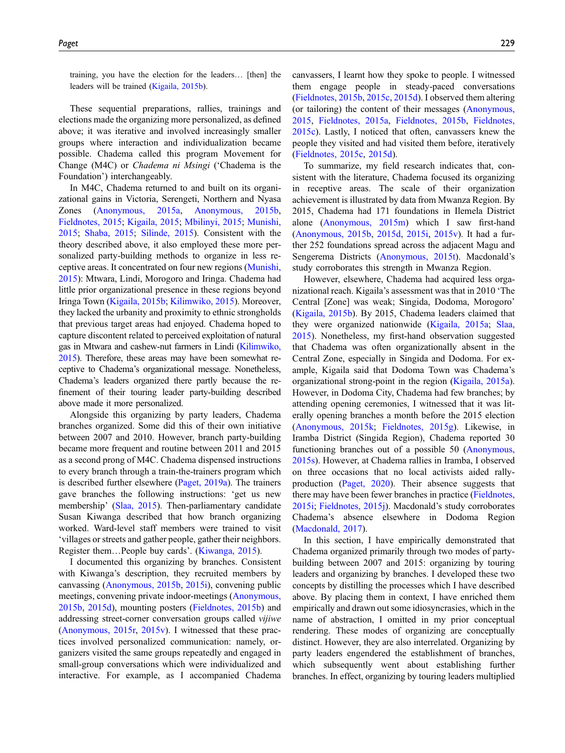training, you have the election for the leaders… [then] the leaders will be trained [\(Kigaila, 2015b\)](#page-11-8).

These sequential preparations, rallies, trainings and elections made the organizing more personalized, as defined above; it was iterative and involved increasingly smaller groups where interaction and individualization became possible. Chadema called this program Movement for Change (M4C) or Chadema ni Msingi ('Chadema is the Foundation') interchangeably.

In M4C, Chadema returned to and built on its organizational gains in Victoria, Serengeti, Northern and Nyasa Zones ([Anonymous, 2015a,](#page-11-22) [Anonymous, 2015b,](#page-11-23) [Fieldnotes, 2015;](#page-11-24) [Kigaila, 2015;](#page-11-8) [Mbilinyi, 2015](#page-11-25); [Munishi,](#page-11-9) [2015;](#page-11-9) [Shaba, 2015](#page-11-26); [Silinde, 2015](#page-11-27)). Consistent with the theory described above, it also employed these more personalized party-building methods to organize in less receptive areas. It concentrated on four new regions ([Munishi,](#page-11-9) [2015\)](#page-11-9): Mtwara, Lindi, Morogoro and Iringa. Chadema had little prior organizational presence in these regions beyond Iringa Town ([Kigaila, 2015b;](#page-11-8) [Kilimwiko, 2015](#page-11-28)). Moreover, they lacked the urbanity and proximity to ethnic strongholds that previous target areas had enjoyed. Chadema hoped to capture discontent related to perceived exploitation of natural gas in Mtwara and cashew-nut farmers in Lindi ([Kilimwiko,](#page-11-28) [2015](#page-11-28)). Therefore, these areas may have been somewhat receptive to Chadema's organizational message. Nonetheless, Chadema's leaders organized there partly because the refinement of their touring leader party-building described above made it more personalized.

Alongside this organizing by party leaders, Chadema branches organized. Some did this of their own initiative between 2007 and 2010. However, branch party-building became more frequent and routine between 2011 and 2015 as a second prong of M4C. Chadema dispensed instructions to every branch through a train-the-trainers program which is described further elsewhere ([Paget, 2019a\)](#page-10-4). The trainers gave branches the following instructions: 'get us new membership' ([Slaa, 2015](#page-11-29)). Then-parliamentary candidate Susan Kiwanga described that how branch organizing worked. Ward-level staff members were trained to visit 'villages or streets and gather people, gather their neighbors. Register them…People buy cards'. [\(Kiwanga, 2015\)](#page-11-30).

I documented this organizing by branches. Consistent with Kiwanga's description, they recruited members by canvassing [\(Anonymous, 2015b](#page-11-23), [2015i\)](#page-11-31), convening public meetings, convening private indoor-meetings [\(Anonymous,](#page-11-23) [2015b,](#page-11-23) [2015d\)](#page-11-32), mounting posters [\(Fieldnotes, 2015b](#page-11-33)) and addressing street-corner conversation groups called vijiwe [\(Anonymous, 2015r,](#page-11-34) [2015v](#page-11-16)). I witnessed that these practices involved personalized communication: namely, organizers visited the same groups repeatedly and engaged in small-group conversations which were individualized and interactive. For example, as I accompanied Chadema canvassers, I learnt how they spoke to people. I witnessed them engage people in steady-paced conversations ([Fieldnotes, 2015b](#page-11-33), [2015c](#page-11-35), [2015d](#page-11-15)). I observed them altering (or tailoring) the content of their messages ([Anonymous,](#page-11-36) [2015](#page-11-36), [Fieldnotes, 2015a,](#page-11-33) [Fieldnotes, 2015b](#page-11-35), [Fieldnotes,](#page-11-15) [2015c\)](#page-11-15). Lastly, I noticed that often, canvassers knew the people they visited and had visited them before, iteratively ([Fieldnotes, 2015c,](#page-11-35) [2015d\)](#page-11-15).

To summarize, my field research indicates that, consistent with the literature, Chadema focused its organizing in receptive areas. The scale of their organization achievement is illustrated by data from Mwanza Region. By 2015, Chadema had 171 foundations in Ilemela District alone ([Anonymous, 2015m\)](#page-11-37) which I saw first-hand ([Anonymous, 2015b](#page-11-23), [2015d,](#page-11-32) [2015i,](#page-11-31) [2015v\)](#page-11-16). It had a further 252 foundations spread across the adjacent Magu and Sengerema Districts [\(Anonymous, 2015t](#page-11-38)). Macdonald's study corroborates this strength in Mwanza Region.

However, elsewhere, Chadema had acquired less organizational reach. Kigaila's assessment was that in 2010 'The Central [Zone] was weak; Singida, Dodoma, Morogoro' ([Kigaila, 2015b](#page-11-8)). By 2015, Chadema leaders claimed that they were organized nationwide ([Kigaila, 2015a](#page-11-39); [Slaa,](#page-11-29) [2015](#page-11-29)). Nonetheless, my first-hand observation suggested that Chadema was often organizationally absent in the Central Zone, especially in Singida and Dodoma. For example, Kigaila said that Dodoma Town was Chadema's organizational strong-point in the region [\(Kigaila, 2015a](#page-11-39)). However, in Dodoma City, Chadema had few branches; by attending opening ceremonies, I witnessed that it was literally opening branches a month before the 2015 election ([Anonymous, 2015k](#page-11-40); [Fieldnotes, 2015g](#page-11-41)). Likewise, in Iramba District (Singida Region), Chadema reported 30 functioning branches out of a possible 50 ([Anonymous,](#page-11-42) [2015s](#page-11-42)). However, at Chadema rallies in Iramba, I observed on three occasions that no local activists aided rallyproduction ([Paget, 2020](#page-10-22)). Their absence suggests that there may have been fewer branches in practice [\(Fieldnotes,](#page-11-43) [2015i](#page-11-43); [Fieldnotes, 2015j](#page-11-44)). Macdonald's study corroborates Chadema's absence elsewhere in Dodoma Region ([Macdonald, 2017\)](#page-10-21).

In this section, I have empirically demonstrated that Chadema organized primarily through two modes of partybuilding between 2007 and 2015: organizing by touring leaders and organizing by branches. I developed these two concepts by distilling the processes which I have described above. By placing them in context, I have enriched them empirically and drawn out some idiosyncrasies, which in the name of abstraction, I omitted in my prior conceptual rendering. These modes of organizing are conceptually distinct. However, they are also interrelated. Organizing by party leaders engendered the establishment of branches, which subsequently went about establishing further branches. In effect, organizing by touring leaders multiplied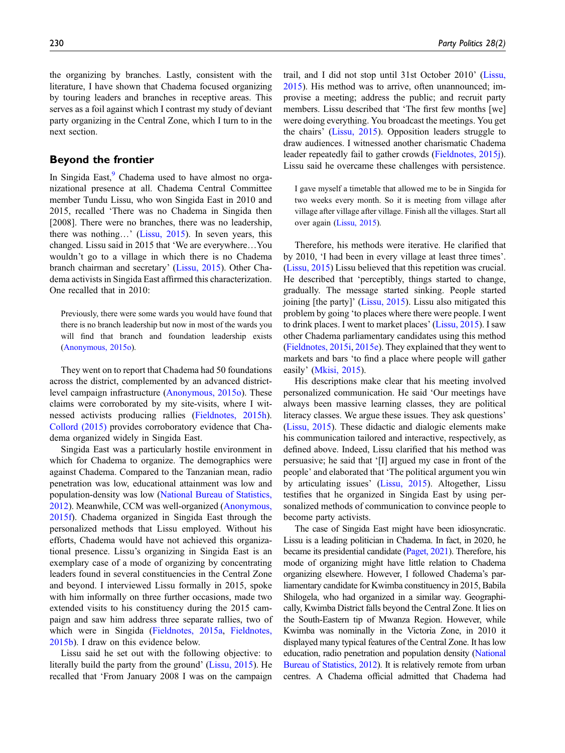the organizing by branches. Lastly, consistent with the literature, I have shown that Chadema focused organizing by touring leaders and branches in receptive areas. This serves as a foil against which I contrast my study of deviant party organizing in the Central Zone, which I turn to in the next section.

## Beyond the frontier

In Singida East, $\frac{9}{2}$  $\frac{9}{2}$  $\frac{9}{2}$  Chadema used to have almost no organizational presence at all. Chadema Central Committee member Tundu Lissu, who won Singida East in 2010 and 2015, recalled 'There was no Chadema in Singida then [2008]. There were no branches, there was no leadership, there was nothing…' [\(Lissu, 2015](#page-11-10)). In seven years, this changed. Lissu said in 2015 that 'We are everywhere…You wouldn't go to a village in which there is no Chadema branch chairman and secretary' ([Lissu, 2015\)](#page-11-10). Other Chadema activists in Singida East affirmed this characterization. One recalled that in 2010:

Previously, there were some wards you would have found that there is no branch leadership but now in most of the wards you will find that branch and foundation leadership exists [\(Anonymous, 2015o\)](#page-11-14).

They went on to report that Chadema had 50 foundations across the district, complemented by an advanced districtlevel campaign infrastructure [\(Anonymous, 2015o\)](#page-11-14). These claims were corroborated by my site-visits, where I witnessed activists producing rallies ([Fieldnotes, 2015h](#page-11-45)). [Collord \(2015\)](#page-10-5) provides corroboratory evidence that Chadema organized widely in Singida East.

Singida East was a particularly hostile environment in which for Chadema to organize. The demographics were against Chadema. Compared to the Tanzanian mean, radio penetration was low, educational attainment was low and population-density was low [\(National Bureau of Statistics,](#page-10-33) [2012](#page-10-33)). Meanwhile, CCM was well-organized ([Anonymous,](#page-11-46) [2015f\)](#page-11-46). Chadema organized in Singida East through the personalized methods that Lissu employed. Without his efforts, Chadema would have not achieved this organizational presence. Lissu's organizing in Singida East is an exemplary case of a mode of organizing by concentrating leaders found in several constituencies in the Central Zone and beyond. I interviewed Lissu formally in 2015, spoke with him informally on three further occasions, made two extended visits to his constituency during the 2015 campaign and saw him address three separate rallies, two of which were in Singida ([Fieldnotes, 2015a,](#page-11-47) [Fieldnotes,](#page-11-33) [2015b](#page-11-33)). I draw on this evidence below.

Lissu said he set out with the following objective: to literally build the party from the ground' [\(Lissu, 2015\)](#page-11-10). He recalled that 'From January 2008 I was on the campaign trail, and I did not stop until 31st October 2010' ([Lissu,](#page-11-10) [2015\)](#page-11-10). His method was to arrive, often unannounced; improvise a meeting; address the public; and recruit party members. Lissu described that 'The first few months [we] were doing everything. You broadcast the meetings. You get the chairs' ([Lissu, 2015](#page-11-10)). Opposition leaders struggle to draw audiences. I witnessed another charismatic Chadema leader repeatedly fail to gather crowds ([Fieldnotes, 2015j\)](#page-11-44). Lissu said he overcame these challenges with persistence.

I gave myself a timetable that allowed me to be in Singida for two weeks every month. So it is meeting from village after village after village after village. Finish all the villages. Start all over again ([Lissu, 2015](#page-11-10)).

Therefore, his methods were iterative. He clarified that by 2010, 'I had been in every village at least three times'. [\(Lissu, 2015](#page-11-10)) Lissu believed that this repetition was crucial. He described that 'perceptibly, things started to change, gradually. The message started sinking. People started joining [the party]' ([Lissu, 2015\)](#page-11-10). Lissu also mitigated this problem by going 'to places where there were people. I went to drink places. I went to market places' [\(Lissu, 2015](#page-11-10)). I saw other Chadema parliamentary candidates using this method [\(Fieldnotes, 2015i](#page-11-43), [2015e](#page-11-48)). They explained that they went to markets and bars 'to find a place where people will gather easily' ([Mkisi, 2015\)](#page-11-49).

His descriptions make clear that his meeting involved personalized communication. He said 'Our meetings have always been massive learning classes, they are political literacy classes. We argue these issues. They ask questions' [\(Lissu, 2015](#page-11-10)). These didactic and dialogic elements make his communication tailored and interactive, respectively, as defined above. Indeed, Lissu clarified that his method was persuasive; he said that '[I] argued my case in front of the people' and elaborated that 'The political argument you win by articulating issues' ([Lissu, 2015\)](#page-11-10). Altogether, Lissu testifies that he organized in Singida East by using personalized methods of communication to convince people to become party activists.

The case of Singida East might have been idiosyncratic. Lissu is a leading politician in Chadema. In fact, in 2020, he became its presidential candidate [\(Paget, 2021](#page-10-10)). Therefore, his mode of organizing might have little relation to Chadema organizing elsewhere. However, I followed Chadema's parliamentary candidate for Kwimba constituency in 2015, Babila Shilogela, who had organized in a similar way. Geographically, Kwimba District falls beyond the Central Zone. It lies on the South-Eastern tip of Mwanza Region. However, while Kwimba was nominally in the Victoria Zone, in 2010 it displayed many typical features of the Central Zone. It has low education, radio penetration and population density [\(National](#page-10-33) [Bureau of Statistics, 2012\)](#page-10-33). It is relatively remote from urban centres. A Chadema official admitted that Chadema had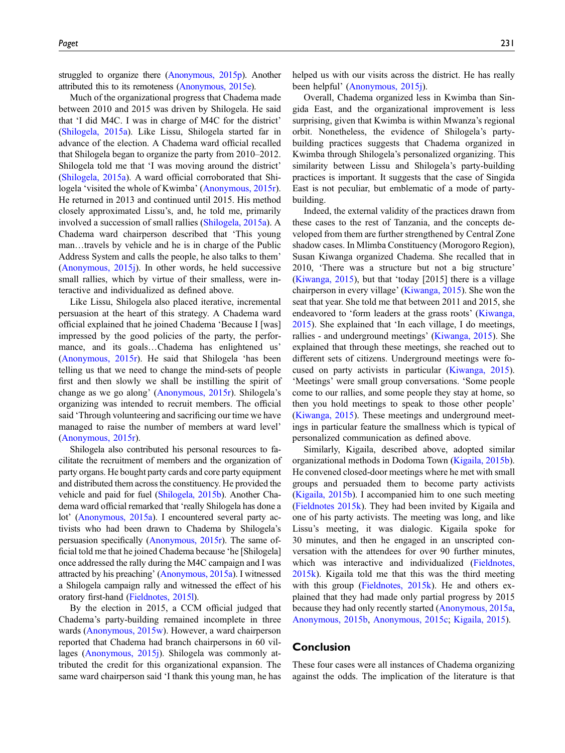struggled to organize there [\(Anonymous, 2015p](#page-11-50)). Another attributed this to its remoteness [\(Anonymous, 2015e\)](#page-11-51).

Much of the organizational progress that Chadema made between 2010 and 2015 was driven by Shilogela. He said that 'I did M4C. I was in charge of M4C for the district' [\(Shilogela, 2015a](#page-11-52)). Like Lissu, Shilogela started far in advance of the election. A Chadema ward official recalled that Shilogela began to organize the party from 2010–2012. Shilogela told me that 'I was moving around the district' [\(Shilogela, 2015a\)](#page-11-52). A ward official corroborated that Shilogela 'visited the whole of Kwimba' [\(Anonymous, 2015r\)](#page-11-34). He returned in 2013 and continued until 2015. His method closely approximated Lissu's, and, he told me, primarily involved a succession of small rallies [\(Shilogela, 2015a](#page-11-52)). A Chadema ward chairperson described that 'This young man…travels by vehicle and he is in charge of the Public Address System and calls the people, he also talks to them' [\(Anonymous, 2015j\)](#page-11-53). In other words, he held successive small rallies, which by virtue of their smalless, were interactive and individualized as defined above.

Like Lissu, Shilogela also placed iterative, incremental persuasion at the heart of this strategy. A Chadema ward official explained that he joined Chadema 'Because I [was] impressed by the good policies of the party, the performance, and its goals…Chadema has enlightened us' [\(Anonymous, 2015r\)](#page-11-34). He said that Shilogela 'has been telling us that we need to change the mind-sets of people first and then slowly we shall be instilling the spirit of change as we go along' [\(Anonymous, 2015r](#page-11-34)). Shilogela's organizing was intended to recruit members. The official said 'Through volunteering and sacrificing our time we have managed to raise the number of members at ward level' [\(Anonymous, 2015r\)](#page-11-34).

Shilogela also contributed his personal resources to facilitate the recruitment of members and the organization of party organs. He bought party cards and core party equipment and distributed them across the constituency. He provided the vehicle and paid for fuel ([Shilogela, 2015b](#page-11-54)). Another Chadema ward official remarked that 'really Shilogela has done a lot' [\(Anonymous, 2015a\)](#page-11-22). I encountered several party activists who had been drawn to Chadema by Shilogela's persuasion specifically [\(Anonymous, 2015r\)](#page-11-34). The same official told me that he joined Chadema because 'he [Shilogela] once addressed the rally during the M4C campaign and I was attracted by his preaching' ([Anonymous, 2015a](#page-11-22)). I witnessed a Shilogela campaign rally and witnessed the effect of his oratory first-hand [\(Fieldnotes, 2015l](#page-11-55)).

By the election in 2015, a CCM official judged that Chadema's party-building remained incomplete in three wards [\(Anonymous, 2015w\)](#page-11-56). However, a ward chairperson reported that Chadema had branch chairpersons in 60 villages ([Anonymous, 2015j\)](#page-11-53). Shilogela was commonly attributed the credit for this organizational expansion. The same ward chairperson said 'I thank this young man, he has

helped us with our visits across the district. He has really been helpful' [\(Anonymous, 2015j](#page-11-53)).

Overall, Chadema organized less in Kwimba than Singida East, and the organizational improvement is less surprising, given that Kwimba is within Mwanza's regional orbit. Nonetheless, the evidence of Shilogela's partybuilding practices suggests that Chadema organized in Kwimba through Shilogela's personalized organizing. This similarity between Lissu and Shilogela's party-building practices is important. It suggests that the case of Singida East is not peculiar, but emblematic of a mode of partybuilding.

Indeed, the external validity of the practices drawn from these cases to the rest of Tanzania, and the concepts developed from them are further strengthened by Central Zone shadow cases. In Mlimba Constituency (Morogoro Region), Susan Kiwanga organized Chadema. She recalled that in 2010, 'There was a structure but not a big structure' ([Kiwanga, 2015](#page-11-30)), but that 'today [2015] there is a village chairperson in every village' [\(Kiwanga, 2015\)](#page-11-30). She won the seat that year. She told me that between 2011 and 2015, she endeavored to 'form leaders at the grass roots' ([Kiwanga,](#page-11-30) [2015](#page-11-30)). She explained that 'In each village, I do meetings, rallies - and underground meetings' [\(Kiwanga, 2015](#page-11-30)). She explained that through these meetings, she reached out to different sets of citizens. Underground meetings were focused on party activists in particular ([Kiwanga, 2015](#page-11-30)). 'Meetings' were small group conversations. 'Some people come to our rallies, and some people they stay at home, so then you hold meetings to speak to those other people' ([Kiwanga, 2015](#page-11-30)). These meetings and underground meetings in particular feature the smallness which is typical of personalized communication as defined above.

Similarly, Kigaila, described above, adopted similar organizational methods in Dodoma Town [\(Kigaila, 2015b](#page-11-8)). He convened closed-door meetings where he met with small groups and persuaded them to become party activists ([Kigaila, 2015b](#page-11-8)). I accompanied him to one such meeting ([Fieldnotes 2015k\)](#page-11-57). They had been invited by Kigaila and one of his party activists. The meeting was long, and like Lissu's meeting, it was dialogic. Kigaila spoke for 30 minutes, and then he engaged in an unscripted conversation with the attendees for over 90 further minutes, which was interactive and individualized [\(Fieldnotes,](#page-11-57) [2015k](#page-11-57)). Kigaila told me that this was the third meeting with this group [\(Fieldnotes, 2015k\)](#page-11-57). He and others explained that they had made only partial progress by 2015 because they had only recently started ([Anonymous, 2015a](#page-11-36), [Anonymous, 2015b,](#page-11-40) [Anonymous, 2015c](#page-11-58); [Kigaila, 2015](#page-11-39)).

## Conclusion

These four cases were all instances of Chadema organizing against the odds. The implication of the literature is that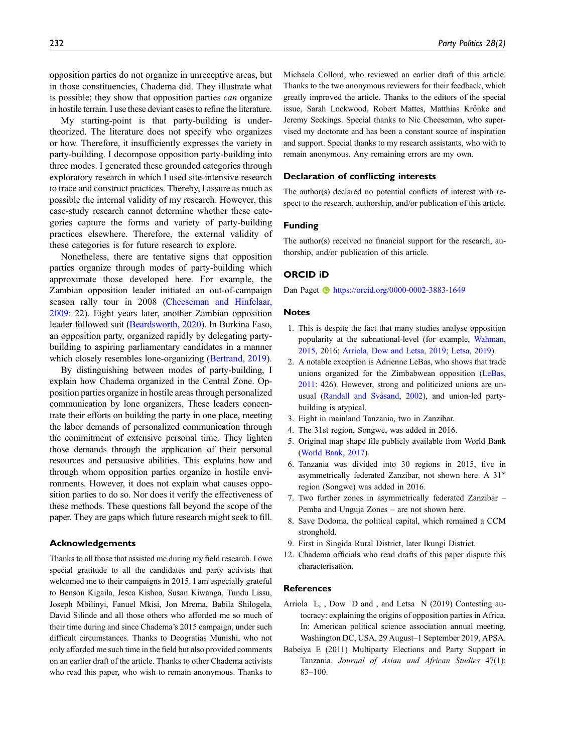opposition parties do not organize in unreceptive areas, but in those constituencies, Chadema did. They illustrate what is possible; they show that opposition parties can organize in hostile terrain. I use these deviant cases to refine the literature.

My starting-point is that party-building is undertheorized. The literature does not specify who organizes or how. Therefore, it insufficiently expresses the variety in party-building. I decompose opposition party-building into three modes. I generated these grounded categories through exploratory research in which I used site-intensive research to trace and construct practices. Thereby, I assure as much as possible the internal validity of my research. However, this case-study research cannot determine whether these categories capture the forms and variety of party-building practices elsewhere. Therefore, the external validity of these categories is for future research to explore.

Nonetheless, there are tentative signs that opposition parties organize through modes of party-building which approximate those developed here. For example, the Zambian opposition leader initiated an out-of-campaign season rally tour in 2008 ([Cheeseman and Hinfelaar,](#page-10-34) [2009](#page-10-34): 22). Eight years later, another Zambian opposition leader followed suit ([Beardsworth, 2020](#page-10-35)). In Burkina Faso, an opposition party, organized rapidly by delegating partybuilding to aspiring parliamentary candidates in a manner which closely resembles lone-organizing [\(Bertrand, 2019](#page-10-36)).

By distinguishing between modes of party-building, I explain how Chadema organized in the Central Zone. Opposition parties organize in hostile areas through personalized communication by lone organizers. These leaders concentrate their efforts on building the party in one place, meeting the labor demands of personalized communication through the commitment of extensive personal time. They lighten those demands through the application of their personal resources and persuasive abilities. This explains how and through whom opposition parties organize in hostile environments. However, it does not explain what causes opposition parties to do so. Nor does it verify the effectiveness of these methods. These questions fall beyond the scope of the paper. They are gaps which future research might seek to fill.

#### Acknowledgements

Thanks to all those that assisted me during my field research. I owe special gratitude to all the candidates and party activists that welcomed me to their campaigns in 2015. I am especially grateful to Benson Kigaila, Jesca Kishoa, Susan Kiwanga, Tundu Lissu, Joseph Mbilinyi, Fanuel Mkisi, Jon Mrema, Babila Shilogela, David Silinde and all those others who afforded me so much of their time during and since Chadema's 2015 campaign, under such difficult circumstances. Thanks to Deogratias Munishi, who not only afforded me such time in the field but also provided comments on an earlier draft of the article. Thanks to other Chadema activists who read this paper, who wish to remain anonymous. Thanks to

Michaela Collord, who reviewed an earlier draft of this article. Thanks to the two anonymous reviewers for their feedback, which greatly improved the article. Thanks to the editors of the special issue, Sarah Lockwood, Robert Mattes, Matthias Krönke and Jeremy Seekings. Special thanks to Nic Cheeseman, who supervised my doctorate and has been a constant source of inspiration and support. Special thanks to my research assistants, who with to remain anonymous. Any remaining errors are my own.

## Declaration of conflicting interests

The author(s) declared no potential conflicts of interest with respect to the research, authorship, and/or publication of this article.

#### Funding

The author(s) received no financial support for the research, authorship, and/or publication of this article.

#### ORCID iD

Dan Paget **b** <https://orcid.org/0000-0002-3883-1649>

#### **Notes**

- <span id="page-9-0"></span>1. This is despite the fact that many studies analyse opposition popularity at the subnational-level (for example, [Wahman,](#page-11-5) [2015,](#page-11-5) 2016; [Arriola, Dow and Letsa, 2019](#page-9-10); [Letsa, 2019](#page-10-3)).
- <span id="page-9-1"></span>2. A notable exception is Adrienne LeBas, who shows that trade unions organized for the Zimbabwean opposition ([LeBas,](#page-10-13) [2011](#page-10-13): 426). However, strong and politicized unions are unusual (Randall and Svåsand, 2002), and union-led partybuilding is atypical.
- <span id="page-9-4"></span><span id="page-9-3"></span>3. Eight in mainland Tanzania, two in Zanzibar.
- 4. The 31st region, Songwe, was added in 2016.
- <span id="page-9-6"></span>5. Original map shape file publicly available from World Bank ([World Bank, 2017\)](#page-11-59).
- <span id="page-9-7"></span>6. Tanzania was divided into 30 regions in 2015, five in asymmetrically federated Zanzibar, not shown here. A 31<sup>st</sup> region (Songwe) was added in 2016.
- <span id="page-9-8"></span>7. Two further zones in asymmetrically federated Zanzibar – Pemba and Unguja Zones – are not shown here.
- <span id="page-9-5"></span>8. Save Dodoma, the political capital, which remained a CCM stronghold.
- <span id="page-9-9"></span>9. First in Singida Rural District, later Ikungi District.
- 12. Chadema officials who read drafts of this paper dispute this characterisation.

#### **References**

- <span id="page-9-10"></span>Arriola L, , Dow D and , and Letsa N (2019) Contesting autocracy: explaining the origins of opposition parties in Africa. In: American political science association annual meeting, Washington DC, USA, 29 August–1 September 2019, APSA.
- <span id="page-9-2"></span>Babeiya E (2011) Multiparty Elections and Party Support in Tanzania. Journal of Asian and African Studies 47(1): 83–100.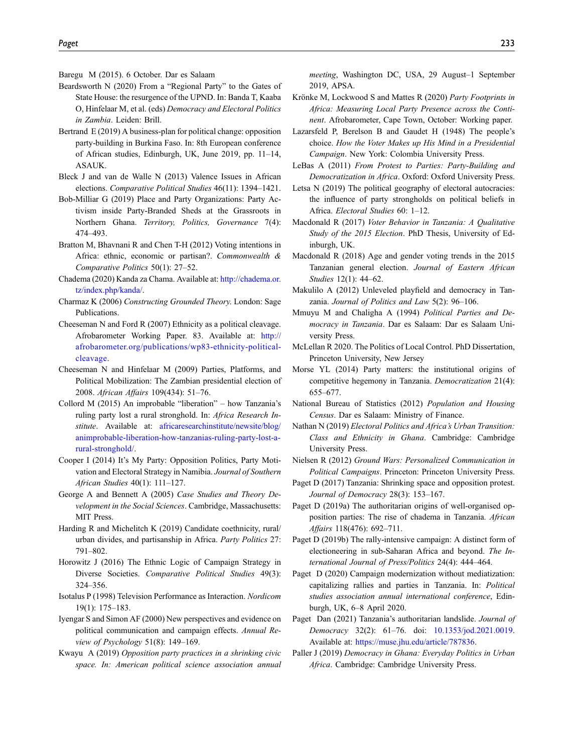<span id="page-10-32"></span>Baregu M (2015). 6 October. Dar es Salaam

- <span id="page-10-35"></span>Beardsworth N (2020) From a "Regional Party" to the Gates of State House: the resurgence of the UPND. In: Banda T, Kaaba O, Hinfelaar M, et al. (eds) Democracy and Electoral Politics in Zambia. Leiden: Brill.
- <span id="page-10-36"></span>Bertrand E (2019) A business-plan for political change: opposition party-building in Burkina Faso. In: 8th European conference of African studies, Edinburgh, UK, June 2019, pp. 11–14, ASAUK.
- <span id="page-10-18"></span>Bleck J and van de Walle N (2013) Valence Issues in African elections. Comparative Political Studies 46(11): 1394–1421.
- <span id="page-10-14"></span>Bob-Milliar G (2019) Place and Party Organizations: Party Activism inside Party-Branded Sheds at the Grassroots in Northern Ghana. Territory, Politics, Governance 7(4): 474–493.
- <span id="page-10-16"></span>Bratton M, Bhavnani R and Chen T-H (2012) Voting intentions in Africa: ethnic, economic or partisan?. Commonwealth & Comparative Politics 50(1): 27–52.
- <span id="page-10-31"></span>Chadema (2020) Kanda za Chama. Available at: [http://chadema.or.](http://chadema.or.tz/index.php/kanda/) [tz/index.php/kanda/](http://chadema.or.tz/index.php/kanda/).
- <span id="page-10-8"></span>Charmaz K (2006) Constructing Grounded Theory. London: Sage Publications.
- <span id="page-10-17"></span>Cheeseman N and Ford R (2007) Ethnicity as a political cleavage. Afrobarometer Working Paper. 83. Available at: [http://](http://afrobarometer.org/publications/wp83-ethnicity-political-cleavage) [afrobarometer.org/publications/wp83-ethnicity-political](http://afrobarometer.org/publications/wp83-ethnicity-political-cleavage)[cleavage](http://afrobarometer.org/publications/wp83-ethnicity-political-cleavage).
- <span id="page-10-34"></span>Cheeseman N and Hinfelaar M (2009) Parties, Platforms, and Political Mobilization: The Zambian presidential election of 2008. African Affairs 109(434): 51–76.
- <span id="page-10-5"></span>Collord M (2015) An improbable "liberation" – how Tanzania's ruling party lost a rural stronghold. In: Africa Research Institute. Available at: [africaresearchinstitute/newsite/blog/](http://africaresearchinstitute/newsite/blog/animprobable-liberation-how-tanzanias-ruling-party-lost-a-rural-stronghold/) [animprobable-liberation-how-tanzanias-ruling-party-lost-a](http://africaresearchinstitute/newsite/blog/animprobable-liberation-how-tanzanias-ruling-party-lost-a-rural-stronghold/)[rural-stronghold/](http://africaresearchinstitute/newsite/blog/animprobable-liberation-how-tanzanias-ruling-party-lost-a-rural-stronghold/).
- <span id="page-10-6"></span>Cooper I (2014) It's My Party: Opposition Politics, Party Motivation and Electoral Strategy in Namibia. Journal of Southern African Studies 40(1): 111–127.
- <span id="page-10-7"></span>George A and Bennett A (2005) Case Studies and Theory Development in the Social Sciences. Cambridge, Massachusetts: MIT Press.
- <span id="page-10-2"></span>Harding R and Michelitch K (2019) Candidate coethnicity, rural/ urban divides, and partisanship in Africa. Party Politics 27: 791–802.
- <span id="page-10-1"></span>Horowitz J (2016) The Ethnic Logic of Campaign Strategy in Diverse Societies. Comparative Political Studies 49(3): 324–356.
- <span id="page-10-25"></span>Isotalus P (1998) Television Performance as Interaction. Nordicom 19(1): 175–183.
- <span id="page-10-0"></span>Iyengar S and Simon AF (2000) New perspectives and evidence on political communication and campaign effects. Annual Review of Psychology 51(8): 149–169.
- <span id="page-10-30"></span>Kwayu A (2019) Opposition party practices in a shrinking civic space. In: American political science association annual

meeting, Washington DC, USA, 29 August–1 September 2019, APSA.

- <span id="page-10-11"></span>Krönke M, Lockwood S and Mattes R (2020) Party Footprints in Africa: Measuring Local Party Presence across the Continent. Afrobarometer, Cape Town, October: Working paper.
- <span id="page-10-24"></span>Lazarsfeld P, Berelson B and Gaudet H (1948) The people's choice. How the Voter Makes up His Mind in a Presidential Campaign. New York: Colombia University Press.
- <span id="page-10-13"></span>LeBas A (2011) From Protest to Parties: Party-Building and Democratization in Africa. Oxford: Oxford University Press.
- <span id="page-10-3"></span>Letsa N (2019) The political geography of electoral autocracies: the influence of party strongholds on political beliefs in Africa. Electoral Studies 60: 1–12.
- <span id="page-10-21"></span>Macdonald R (2017) Voter Behavior in Tanzania: A Qualitative Study of the 2015 Election. PhD Thesis, University of Edinburgh, UK.
- <span id="page-10-19"></span>Macdonald R (2018) Age and gender voting trends in the 2015 Tanzanian general election. Journal of Eastern African Studies 12(1): 44–62.
- <span id="page-10-28"></span>Makulilo A (2012) Unleveled playfield and democracy in Tanzania. Journal of Politics and Law 5(2): 96–106.
- <span id="page-10-29"></span>Mmuyu M and Chaligha A (1994) Political Parties and Democracy in Tanzania. Dar es Salaam: Dar es Salaam University Press.
- <span id="page-10-12"></span>McLellan R 2020. The Politics of Local Control. PhD Dissertation, Princeton University, New Jersey
- <span id="page-10-27"></span>Morse YL (2014) Party matters: the institutional origins of competitive hegemony in Tanzania. Democratization 21(4): 655–677.
- <span id="page-10-33"></span>National Bureau of Statistics (2012) Population and Housing Census. Dar es Salaam: Ministry of Finance.
- <span id="page-10-20"></span>Nathan N (2019) Electoral Politics and Africa's Urban Transition: Class and Ethnicity in Ghana. Cambridge: Cambridge University Press.
- <span id="page-10-23"></span>Nielsen R (2012) Ground Wars: Personalized Communication in Political Campaigns. Princeton: Princeton University Press.
- <span id="page-10-9"></span>Paget D (2017) Tanzania: Shrinking space and opposition protest. Journal of Democracy 28(3): 153–167.
- <span id="page-10-4"></span>Paget D (2019a) The authoritarian origins of well-organised opposition parties: The rise of chadema in Tanzania. African Affairs 118(476): 692–711.
- <span id="page-10-26"></span>Paget D (2019b) The rally-intensive campaign: A distinct form of electioneering in sub-Saharan Africa and beyond. The International Journal of Press/Politics 24(4): 444–464.
- <span id="page-10-22"></span>Paget D (2020) Campaign modernization without mediatization: capitalizing rallies and parties in Tanzania. In: Political studies association annual international conference, Edinburgh, UK, 6–8 April 2020.
- <span id="page-10-10"></span>Paget Dan (2021) Tanzania's authoritarian landslide. Journal of Democracy 32(2): 61–76. doi: [10.1353/jod.2021.0019.](https://doi.org/10.1353/jod.2021.0019) Available at: [https://muse.jhu.edu/article/787836.](https://muse.jhu.edu/article/787836)
- <span id="page-10-15"></span>Paller J (2019) Democracy in Ghana: Everyday Politics in Urban Africa. Cambridge: Cambridge University Press.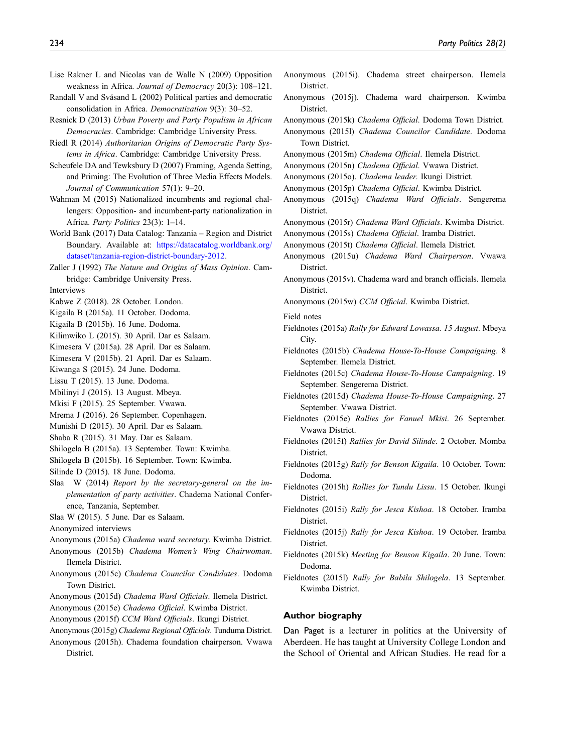- <span id="page-11-1"></span>Lise Rakner L and Nicolas van de Walle N (2009) Opposition weakness in Africa. Journal of Democracy 20(3): 108–121.
- <span id="page-11-2"></span>Randall V and Svåsand L (2002) Political parties and democratic consolidation in Africa. Democratization 9(3): 30–52.
- <span id="page-11-6"></span>Resnick D (2013) Urban Poverty and Party Populism in African Democracies. Cambridge: Cambridge University Press.
- <span id="page-11-3"></span>Riedl R (2014) Authoritarian Origins of Democratic Party Systems in Africa. Cambridge: Cambridge University Press.
- <span id="page-11-4"></span>Scheufele DA and Tewksbury D (2007) Framing, Agenda Setting, and Priming: The Evolution of Three Media Effects Models. Journal of Communication 57(1): 9–20.
- <span id="page-11-5"></span>Wahman M (2015) Nationalized incumbents and regional challengers: Opposition- and incumbent-party nationalization in Africa. Party Politics 23(3): 1–14.
- <span id="page-11-59"></span>World Bank (2017) Data Catalog: Tanzania – Region and District Boundary. Available at: [https://datacatalog.worldbank.org/](https://datacatalog.worldbank.org/dataset/tanzania-region-district-boundary-2012) [dataset/tanzania-region-district-boundary-2012](https://datacatalog.worldbank.org/dataset/tanzania-region-district-boundary-2012).
- <span id="page-11-0"></span>Zaller J (1992) The Nature and Origins of Mass Opinion. Cambridge: Cambridge University Press.

Interviews

- <span id="page-11-13"></span>Kabwe Z (2018). 28 October. London.
- <span id="page-11-39"></span>Kigaila B (2015a). 11 October. Dodoma.
- <span id="page-11-8"></span>Kigaila B (2015b). 16 June. Dodoma.
- <span id="page-11-28"></span><span id="page-11-11"></span>Kilimwiko L (2015). 30 April. Dar es Salaam.
- <span id="page-11-18"></span>Kimesera V (2015a). 28 April. Dar es Salaam.
- <span id="page-11-30"></span>Kimesera V (2015b). 21 April. Dar es Salaam.
- <span id="page-11-10"></span>Kiwanga S (2015). 24 June. Dodoma.
- <span id="page-11-25"></span>Lissu T (2015). 13 June. Dodoma.
- <span id="page-11-49"></span>Mbilinyi J (2015). 13 August. Mbeya.
- <span id="page-11-12"></span>Mkisi F (2015). 25 September. Vwawa.
- Mrema J (2016). 26 September. Copenhagen.
- <span id="page-11-9"></span>Munishi D (2015). 30 April. Dar es Salaam.
- <span id="page-11-26"></span>Shaba R (2015). 31 May. Dar es Salaam.
- <span id="page-11-52"></span>Shilogela B (2015a). 13 September. Town: Kwimba.
- <span id="page-11-54"></span>Shilogela B (2015b). 16 September. Town: Kwimba.
- <span id="page-11-27"></span>Silinde D (2015). 18 June. Dodoma.
- <span id="page-11-7"></span>Slaa W (2014) Report by the secretary-general on the implementation of party activities. Chadema National Conference, Tanzania, September.
- <span id="page-11-29"></span>Slaa W (2015). 5 June. Dar es Salaam.
- Anonymized interviews
- <span id="page-11-22"></span>Anonymous (2015a) Chadema ward secretary. Kwimba District.
- <span id="page-11-23"></span>Anonymous (2015b) Chadema Women's Wing Chairwoman. Ilemela District.
- <span id="page-11-36"></span>Anonymous (2015c) Chadema Councilor Candidates. Dodoma Town District.
- <span id="page-11-51"></span><span id="page-11-32"></span>Anonymous (2015d) Chadema Ward Officials. Ilemela District.
- <span id="page-11-46"></span>Anonymous (2015e) Chadema Official. Kwimba District.
- <span id="page-11-17"></span>Anonymous (2015f) CCM Ward Officials. Ikungi District.
- <span id="page-11-20"></span>Anonymous (2015g) Chadema Regional Officials. Tunduma District.
- Anonymous (2015h). Chadema foundation chairperson. Vwawa District.
- <span id="page-11-31"></span>Anonymous (2015i). Chadema street chairperson. Ilemela District.
- <span id="page-11-53"></span>Anonymous (2015j). Chadema ward chairperson. Kwimba District.
- <span id="page-11-40"></span>Anonymous (2015k) Chadema Official. Dodoma Town District.
- <span id="page-11-58"></span>Anonymous (2015l) Chadema Councilor Candidate. Dodoma Town District.
- <span id="page-11-37"></span>Anonymous (2015m) Chadema Official. Ilemela District.
- <span id="page-11-19"></span>Anonymous (2015n) Chadema Official. Vwawa District.
- <span id="page-11-50"></span><span id="page-11-14"></span>Anonymous (2015o). Chadema leader. Ikungi District.
- Anonymous (2015p) Chadema Official. Kwimba District.
- Anonymous (2015q) Chadema Ward Officials. Sengerema **District**
- <span id="page-11-34"></span>Anonymous (2015r) Chadema Ward Officials. Kwimba District.
- <span id="page-11-42"></span>Anonymous (2015s) Chadema Official. Iramba District.
- <span id="page-11-38"></span>Anonymous (2015t) Chadema Official. Ilemela District.
- <span id="page-11-21"></span>Anonymous (2015u) Chadema Ward Chairperson. Vwawa District.
- <span id="page-11-16"></span>Anonymous (2015v). Chadema ward and branch officials. Ilemela District.
- <span id="page-11-56"></span>Anonymous (2015w) CCM Official. Kwimba District.
- Field notes
- <span id="page-11-47"></span>Fieldnotes (2015a) Rally for Edward Lowassa. 15 August. Mbeya City.
- <span id="page-11-33"></span>Fieldnotes (2015b) Chadema House-To-House Campaigning. 8 September. Ilemela District.
- <span id="page-11-35"></span>Fieldnotes (2015c) Chadema House-To-House Campaigning. 19 September. Sengerema District.
- <span id="page-11-15"></span>Fieldnotes (2015d) Chadema House-To-House Campaigning. 27 September. Vwawa District.
- <span id="page-11-48"></span>Fieldnotes (2015e) Rallies for Fanuel Mkisi. 26 September. Vwawa District.
- <span id="page-11-24"></span>Fieldnotes (2015f) Rallies for David Silinde. 2 October. Momba District.
- <span id="page-11-41"></span>Fieldnotes (2015g) Rally for Benson Kigaila. 10 October. Town: Dodoma.
- <span id="page-11-45"></span>Fieldnotes (2015h) Rallies for Tundu Lissu. 15 October. Ikungi District.
- <span id="page-11-43"></span>Fieldnotes (2015i) Rally for Jesca Kishoa. 18 October. Iramba District.
- <span id="page-11-44"></span>Fieldnotes (2015j) Rally for Jesca Kishoa. 19 October. Iramba District.
- <span id="page-11-57"></span>Fieldnotes (2015k) Meeting for Benson Kigaila. 20 June. Town: Dodoma.
- <span id="page-11-55"></span>Fieldnotes (2015l) Rally for Babila Shilogela. 13 September. Kwimba District.

#### Author biography

Dan Paget is a lecturer in politics at the University of Aberdeen. He has taught at University College London and the School of Oriental and African Studies. He read for a